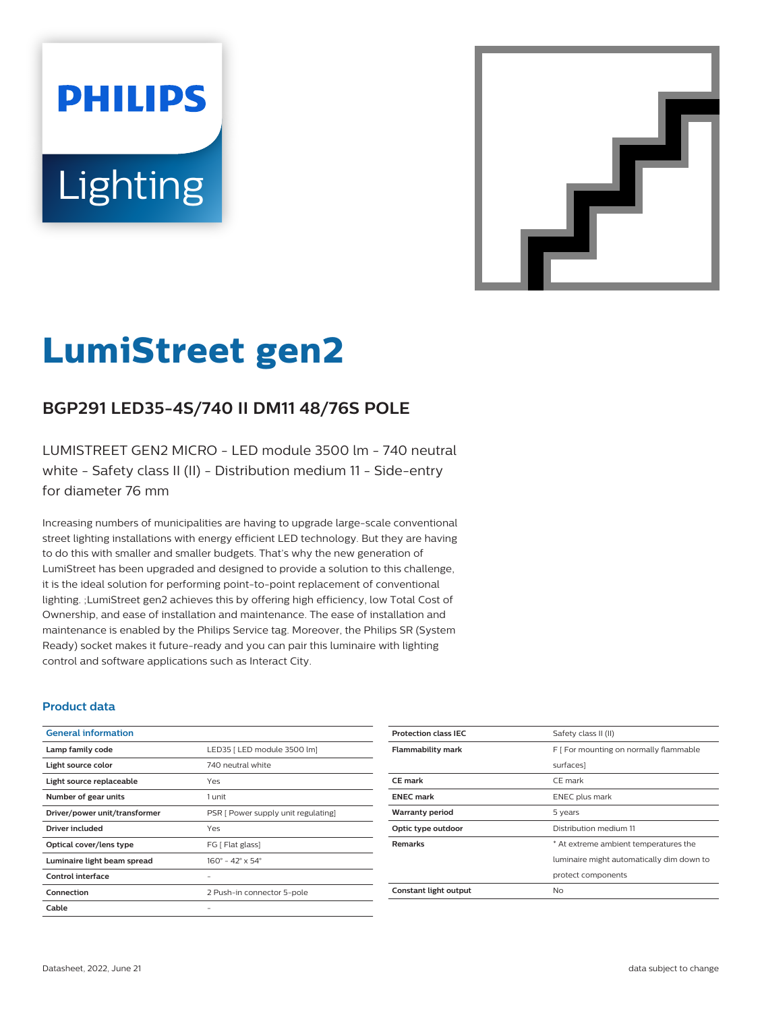# **PHILIPS** Lighting



# **LumiStreet gen2**

# **BGP291 LED35-4S/740 II DM11 48/76S POLE**

LUMISTREET GEN2 MICRO - LED module 3500 lm - 740 neutral white - Safety class II (II) - Distribution medium 11 - Side-entry for diameter 76 mm

Increasing numbers of municipalities are having to upgrade large-scale conventional street lighting installations with energy efficient LED technology. But they are having to do this with smaller and smaller budgets. That's why the new generation of LumiStreet has been upgraded and designed to provide a solution to this challenge, it is the ideal solution for performing point-to-point replacement of conventional lighting. ;LumiStreet gen2 achieves this by offering high efficiency, low Total Cost of Ownership, and ease of installation and maintenance. The ease of installation and maintenance is enabled by the Philips Service tag. Moreover, the Philips SR (System Ready) socket makes it future-ready and you can pair this luminaire with lighting control and software applications such as Interact City.

#### **Product data**

| <b>General information</b>    |                                              |
|-------------------------------|----------------------------------------------|
| Lamp family code              | LED35   LED module 3500 lm]                  |
| Light source color            | 740 neutral white                            |
| Light source replaceable      | Yes                                          |
| Number of gear units          | 1 unit                                       |
| Driver/power unit/transformer | PSR [ Power supply unit regulating]          |
| Driver included               | Yes                                          |
| Optical cover/lens type       | FG [ Flat glass]                             |
| Luminaire light beam spread   | $160^{\circ} - 42^{\circ} \times 54^{\circ}$ |
| Control interface             |                                              |
| Connection                    | 2 Push-in connector 5-pole                   |
| Cable                         |                                              |

| <b>Protection class IEC</b> | Safety class II (II)                      |
|-----------------------------|-------------------------------------------|
|                             |                                           |
| <b>Flammability mark</b>    | F [ For mounting on normally flammable    |
|                             | surfaces]                                 |
| <b>CE</b> mark              | CE mark                                   |
| <b>ENEC</b> mark            | <b>ENEC</b> plus mark                     |
| <b>Warranty period</b>      | 5 years                                   |
| Optic type outdoor          | Distribution medium 11                    |
| <b>Remarks</b>              | * At extreme ambient temperatures the     |
|                             | luminaire might automatically dim down to |
|                             | protect components                        |
| Constant light output       | No                                        |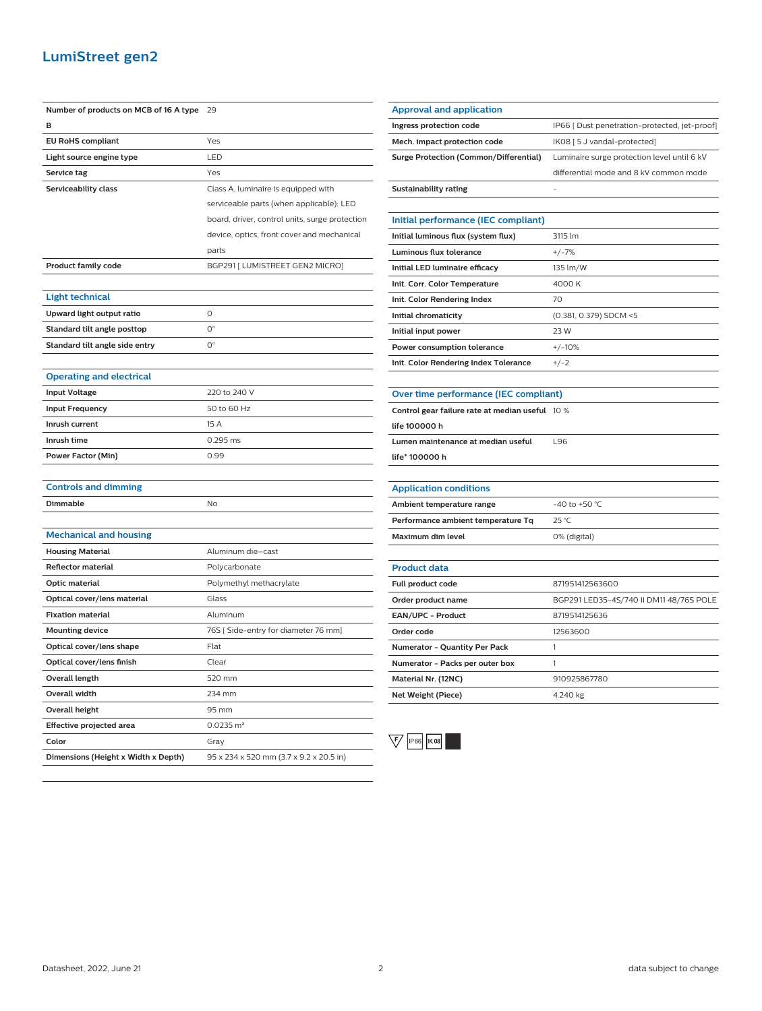### **LumiStreet gen2**

| Number of products on MCB of 16 A type | 29                                             |
|----------------------------------------|------------------------------------------------|
| B                                      |                                                |
| <b>EU RoHS compliant</b>               | Yes                                            |
| Light source engine type               | LED                                            |
| Service tag                            | Yes                                            |
| Serviceability class                   | Class A, luminaire is equipped with            |
|                                        | serviceable parts (when applicable): LED       |
|                                        | board, driver, control units, surge protection |
|                                        | device, optics, front cover and mechanical     |
|                                        | parts                                          |
| <b>Product family code</b>             | BGP291 [ LUMISTREET GEN2 MICRO]                |
|                                        |                                                |
| <b>Light technical</b>                 |                                                |
| Upward light output ratio              | O                                              |
| Standard tilt angle posttop            | О°                                             |
| Standard tilt angle side entry         | О°                                             |
|                                        |                                                |
| <b>Operating and electrical</b>        |                                                |
| <b>Input Voltage</b>                   | 220 to 240 V                                   |
| <b>Input Frequency</b>                 | 50 to 60 Hz                                    |
| Inrush current                         | 15 A                                           |
| Inrush time                            | 0.295 ms                                       |
| <b>Power Factor (Min)</b>              | 0.99                                           |
|                                        |                                                |
| <b>Controls and dimming</b>            |                                                |
| Dimmable                               | No                                             |
|                                        |                                                |
| <b>Mechanical and housing</b>          |                                                |
| <b>Housing Material</b>                | Aluminum die-cast                              |
| <b>Reflector material</b>              | Polycarbonate                                  |
| <b>Optic material</b>                  | Polymethyl methacrylate                        |
| Optical cover/lens material            | Glass                                          |
| <b>Fixation material</b>               | Aluminum                                       |
| <b>Mounting device</b>                 | 76S [Side-entry for diameter 76 mm]            |
| Optical cover/lens shape               | Flat                                           |
| Optical cover/lens finish              | Clear                                          |
| Overall length                         | 520 mm                                         |
| <b>Overall width</b>                   | 234 mm                                         |
| <b>Overall height</b>                  | 95 mm                                          |
| Effective projected area               | $0.0235 \; \text{m}^2$                         |
| Color                                  | Gray                                           |
| Dimensions (Height x Width x Depth)    | 95 x 234 x 520 mm (3.7 x 9.2 x 20.5 in)        |

| <b>Approval and application</b>                 |                                               |
|-------------------------------------------------|-----------------------------------------------|
| Ingress protection code                         | IP66 [ Dust penetration-protected, jet-proof] |
| Mech. impact protection code                    | IK08 [5 J vandal-protected]                   |
| <b>Surge Protection (Common/Differential)</b>   | Luminaire surge protection level until 6 kV   |
|                                                 | differential mode and 8 kV common mode        |
| <b>Sustainability rating</b>                    |                                               |
|                                                 |                                               |
| Initial performance (IEC compliant)             |                                               |
| Initial luminous flux (system flux)             | 3115 lm                                       |
| <b>Luminous flux tolerance</b>                  | $+/-7%$                                       |
| Initial LED luminaire efficacy                  | 135 lm/W                                      |
| Init. Corr. Color Temperature                   | 4000 K                                        |
| Init. Color Rendering Index                     | 70                                            |
| Initial chromaticity                            | (0.381, 0.379) SDCM <5                        |
| Initial input power                             | 23 W                                          |
| Power consumption tolerance                     | $+/-10%$                                      |
| Init. Color Rendering Index Tolerance           | $+/-2$                                        |
|                                                 |                                               |
| Over time performance (IEC compliant)           |                                               |
| Control gear failure rate at median useful 10 % |                                               |
| life 100000 h                                   |                                               |
| Lumen maintenance at median useful              | L96                                           |
| life* 100000 h                                  |                                               |
|                                                 |                                               |
| <b>Application conditions</b>                   |                                               |
| Ambient temperature range                       | -40 to +50 $^{\circ}$ C                       |
| Performance ambient temperature Tq              | 25 °C                                         |
| <b>Maximum dim level</b>                        | 0% (digital)                                  |
|                                                 |                                               |
| <b>Product data</b>                             |                                               |
| Full product code                               | 871951412563600                               |
| Order product name                              | BGP291 LED35-4S/740 II DM11 48/76S POLE       |
| EAN/UPC - Product                               | 8719514125636                                 |
| Order code                                      | 12563600                                      |

| Order code                      | 12563600     |
|---------------------------------|--------------|
| Numerator - Quantity Per Pack   |              |
| Numerator - Packs per outer box |              |
| Material Nr. (12NC)             | 910925867780 |
| Net Weight (Piece)              | 4.240 kg     |